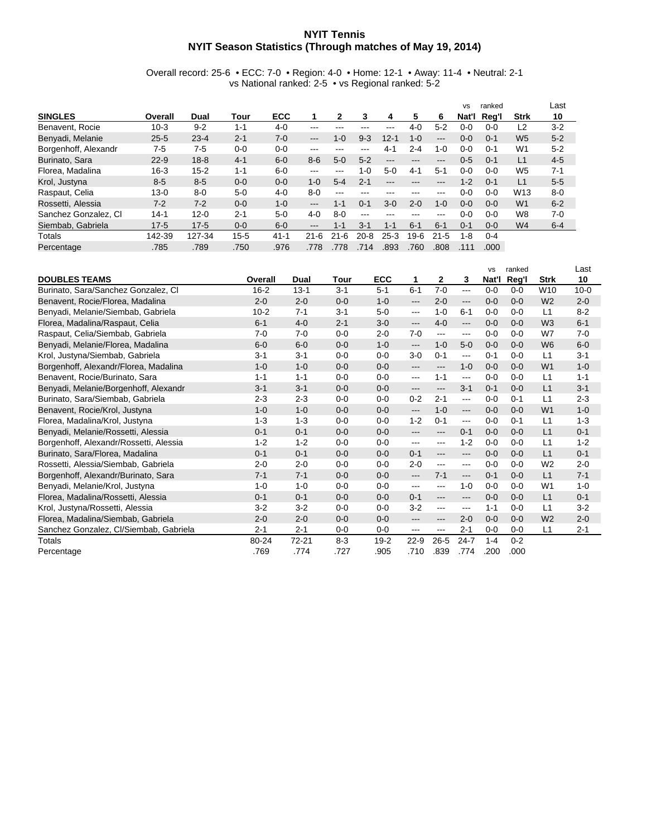## **NYIT Tennis NYIT Season Statistics (Through matches of May 19, 2014)**

Overall record: 25-6 • ECC: 7-0 • Region: 4-0 • Home: 12-1 • Away: 11-4 • Neutral: 2-1 vs National ranked: 2-5 • vs Regional ranked: 5-2

|                      |          |          |          |            |          |          |          |          |         |          | <b>VS</b> | ranked  |                 | Last    |
|----------------------|----------|----------|----------|------------|----------|----------|----------|----------|---------|----------|-----------|---------|-----------------|---------|
| <b>SINGLES</b>       | Overall  | Dual     | Tour     | <b>ECC</b> |          | 2        | 3        | 4        | 5       | 6        | Nat'l     | Rea'l   | <b>Strk</b>     | 10      |
| Benavent, Rocie      | $10-3$   | $9 - 2$  | $1 - 1$  | 4-0        | ---      |          |          | ---      | $4 - 0$ | $5 - 2$  | $0 - 0$   | $0 - 0$ | L2              | $3-2$   |
| Benyadi, Melanie     | $25 - 5$ | $23 - 4$ | $2 - 1$  | $7-0$      | $---$    | $1 - 0$  | $9-3$    | $12 - 1$ | $1 - 0$ | $---$    | $0 - 0$   | $0 - 1$ | W <sub>5</sub>  | $5 - 2$ |
| Borgenhoff, Alexandr | 7-5      | $7-5$    | $0 - 0$  | $0 - 0$    | ---      | ---      | ---      | 4-1      | $2 - 4$ | $1 - 0$  | $0 - 0$   | $0 - 1$ | W <sub>1</sub>  | $5 - 2$ |
| Burinato, Sara       | $22 - 9$ | $18 - 8$ | $4 - 1$  | $6 - 0$    | $8 - 6$  | $5-0$    | $5 - 2$  | ---      | ---     | ---      | $0 - 5$   | $0 - 1$ | L1              | $4 - 5$ |
| Florea, Madalina     | $16 - 3$ | $15 - 2$ | $1 - 1$  | $6 - 0$    | ---      | ---      | $1-0$    | $5-0$    | $4 - 1$ | $5 - 1$  | ი-ი       | 0-0     | W <sub>5</sub>  | $7-1$   |
| Krol, Justyna        | $8-5$    | $8-5$    | $0 - 0$  | $0 - 0$    | $1 - 0$  | $5 - 4$  | $2 - 1$  | ---      | ---     | ---      | $1 - 2$   | $0 - 1$ | L1              | $5-5$   |
| Raspaut, Celia       | $13 - 0$ | $8 - 0$  | $5-0$    | $4 - 0$    | $8-0$    | $-- -$   | ---      | ---      | ---     | ---      | 0-0       | $0 - 0$ | W <sub>13</sub> | $8 - 0$ |
| Rossetti, Alessia    | $7-2$    | $7 - 2$  | $0 - 0$  | $1 - 0$    | $---$    | $1 - 1$  | $0 - 1$  | $3-0$    | $2 - 0$ | $1 - 0$  | $0 - 0$   | $0 - 0$ | W <sub>1</sub>  | $6 - 2$ |
| Sanchez Gonzalez, Cl | $14 - 1$ | $12 - 0$ | $2 - 1$  | $5-0$      | $4 - 0$  | $8-0$    | ---      | ---      | ---     | ---      | $0 - 0$   | $0 - 0$ | W <sub>8</sub>  | $7-0$   |
| Siembab, Gabriela    | $17 - 5$ | $17-5$   | $0 - 0$  | $6-0$      | $---$    | $1 - 1$  | $3 - 1$  | $1 - 1$  | $6 - 1$ | $6 - 1$  | $0 - 1$   | $0 - 0$ | W <sub>4</sub>  | $6 - 4$ |
| Totals               | 142-39   | 127-34   | $15 - 5$ | $41 - 1$   | $21 - 6$ | $21 - 6$ | $20 - 8$ | $25-3$   | $9-6$   | $21 - 5$ | $1 - 8$   | $0 - 4$ |                 |         |
| Percentage           | .785     | .789     | .750     | .976       | .778     | 778      | 714      | .893     | .760    | .808     |           | .000.   |                 |         |

|                                        |          |           |         |            |                        |                        |          | <b>VS</b> | ranked  |                | Last     |
|----------------------------------------|----------|-----------|---------|------------|------------------------|------------------------|----------|-----------|---------|----------------|----------|
| <b>DOUBLES TEAMS</b>                   | Overall  | Dual      | Tour    | <b>ECC</b> | 1                      | $\mathbf{2}$           | 3        | Nat'l     | Reg'l   | <b>Strk</b>    | 10       |
| Burinato, Sara/Sanchez Gonzalez, Cl.   | $16 - 2$ | $13 - 1$  | $3 - 1$ | $5 - 1$    | $6 - 1$                | $7 - 0$                | $---$    | $0 - 0$   | $0 - 0$ | W10            | $10 - 0$ |
| Benavent, Rocie/Florea, Madalina       | $2 - 0$  | $2 - 0$   | $0 - 0$ | $1 - 0$    | $---$                  | $2 - 0$                | ---      | $0 - 0$   | $0 - 0$ | W <sub>2</sub> | $2 - 0$  |
| Benyadi, Melanie/Siembab, Gabriela     | $10 - 2$ | $7 - 1$   | $3 - 1$ | $5-0$      | $--$                   | $1 - 0$                | $6 - 1$  | $0 - 0$   | $0 - 0$ | L1             | $8 - 2$  |
| Florea, Madalina/Raspaut, Celia        | $6 - 1$  | $4 - 0$   | $2 - 1$ | $3-0$      | $\qquad \qquad \cdots$ | $4 - 0$                | ---      | $0 - 0$   | $0 - 0$ | W <sub>3</sub> | $6 - 1$  |
| Raspaut, Celia/Siembab, Gabriela       | $7-0$    | $7-0$     | $0 - 0$ | $2 - 0$    | $7-0$                  | $\cdots$               | ---      | $0 - 0$   | $0 - 0$ | W7             | $7-0$    |
| Benyadi, Melanie/Florea, Madalina      | $6 - 0$  | $6 - 0$   | $0 - 0$ | $1 - 0$    | $\qquad \qquad - -$    | $1 - 0$                | $5-0$    | $0 - 0$   | $0 - 0$ | W <sub>6</sub> | $6 - 0$  |
| Krol, Justyna/Siembab, Gabriela        | $3 - 1$  | $3 - 1$   | $0 - 0$ | $0 - 0$    | $3-0$                  | $0 - 1$                | ---      | $0 - 1$   | $0 - 0$ | L1             | $3 - 1$  |
| Borgenhoff, Alexandr/Florea, Madalina  | $1 - 0$  | $1 - 0$   | $0 - 0$ | $0 - 0$    | $---$                  | $\qquad \qquad \cdots$ | $1 - 0$  | $0 - 0$   | $0 - 0$ | W <sub>1</sub> | $1 - 0$  |
| Benavent, Rocie/Burinato, Sara         | $1 - 1$  | $1 - 1$   | $0 - 0$ | $0 - 0$    | $---$                  | $1 - 1$                | $---$    | $0 - 0$   | $0 - 0$ | L1             | $1 - 1$  |
| Benyadi, Melanie/Borgenhoff, Alexandr  | $3 - 1$  | $3 - 1$   | $0 - 0$ | $0 - 0$    | $---$                  | $\qquad \qquad -$      | $3 - 1$  | $0 - 1$   | $0 - 0$ | L1             | $3 - 1$  |
| Burinato, Sara/Siembab, Gabriela       | $2 - 3$  | $2 - 3$   | $0 - 0$ | $0 - 0$    | $0 - 2$                | $2 - 1$                | $---$    | $0 - 0$   | $0 - 1$ | L1             | $2 - 3$  |
| Benavent, Rocie/Krol, Justyna          | $1 - 0$  | $1 - 0$   | $0 - 0$ | $0 - 0$    | $---$                  | $1 - 0$                | ---      | $0 - 0$   | $0 - 0$ | W <sub>1</sub> | $1 - 0$  |
| Florea, Madalina/Krol, Justyna         | $1 - 3$  | $1 - 3$   | $0 - 0$ | $0 - 0$    | $1 - 2$                | $0 - 1$                | ---      | $0 - 0$   | $0 - 1$ | L1             | $1 - 3$  |
| Benyadi, Melanie/Rossetti, Alessia     | $0 - 1$  | $0 - 1$   | $0 - 0$ | $0 - 0$    | $---$                  | $\qquad \qquad \cdots$ | $0 - 1$  | $0 - 0$   | $0 - 0$ | L1             | $0 - 1$  |
| Borgenhoff, Alexandr/Rossetti, Alessia | $1 - 2$  | $1 - 2$   | $0 - 0$ | $0 - 0$    | $--$                   | ---                    | $1 - 2$  | $0 - 0$   | $0 - 0$ | L1             | $1 - 2$  |
| Burinato, Sara/Florea, Madalina        | $0 - 1$  | $0 - 1$   | $0 - 0$ | $0 - 0$    | $0 - 1$                | $\qquad \qquad \cdots$ | $---$    | $0 - 0$   | $0 - 0$ | L1             | $0 - 1$  |
| Rossetti, Alessia/Siembab, Gabriela    | $2 - 0$  | $2 - 0$   | $0 - 0$ | $0 - 0$    | $2 - 0$                | $\cdots$               | ---      | $0-0$     | $0 - 0$ | W <sub>2</sub> | $2 - 0$  |
| Borgenhoff, Alexandr/Burinato, Sara    | $7 - 1$  | $7 - 1$   | $0 - 0$ | $0 - 0$    | $\overline{a}$         | $7 - 1$                | ---      | $0 - 1$   | $0 - 0$ | L1             | $7 - 1$  |
| Benyadi, Melanie/Krol, Justyna         | $1 - 0$  | $1 - 0$   | $0 - 0$ | $0 - 0$    | $--$                   | $\cdots$               | $1 - 0$  | $0 - 0$   | $0 - 0$ | W <sub>1</sub> | $1 - 0$  |
| Florea, Madalina/Rossetti, Alessia     | $0 - 1$  | $0 - 1$   | $0 - 0$ | $0 - 0$    | $0 - 1$                | $\qquad \qquad -$      | ---      | $0 - 0$   | $0 - 0$ | L1             | $0 - 1$  |
| Krol, Justyna/Rossetti, Alessia        | $3 - 2$  | $3 - 2$   | $0 - 0$ | $0 - 0$    | $3 - 2$                | ---                    | ---      | $1 - 1$   | $0 - 0$ | L1             | $3-2$    |
| Florea, Madalina/Siembab, Gabriela     | $2 - 0$  | $2 - 0$   | $0 - 0$ | $0 - 0$    | $---$                  | ---                    | $2 - 0$  | $0 - 0$   | $0 - 0$ | W <sub>2</sub> | $2 - 0$  |
| Sanchez Gonzalez, Cl/Siembab, Gabriela | $2 - 1$  | $2 - 1$   | $0 - 0$ | $0 - 0$    | $--$                   | ---                    | $2 - 1$  | $0 - 0$   | $0 - 0$ | L1             | $2 - 1$  |
| <b>Totals</b>                          | 80-24    | $72 - 21$ | $8-3$   | $19 - 2$   | $22 - 9$               | $26 - 5$               | $24 - 7$ | $1 - 4$   | $0 - 2$ |                |          |
| Percentage                             | .769     | .774      | .727    | .905       | .710                   | .839                   | .774     | .200      | .000    |                |          |